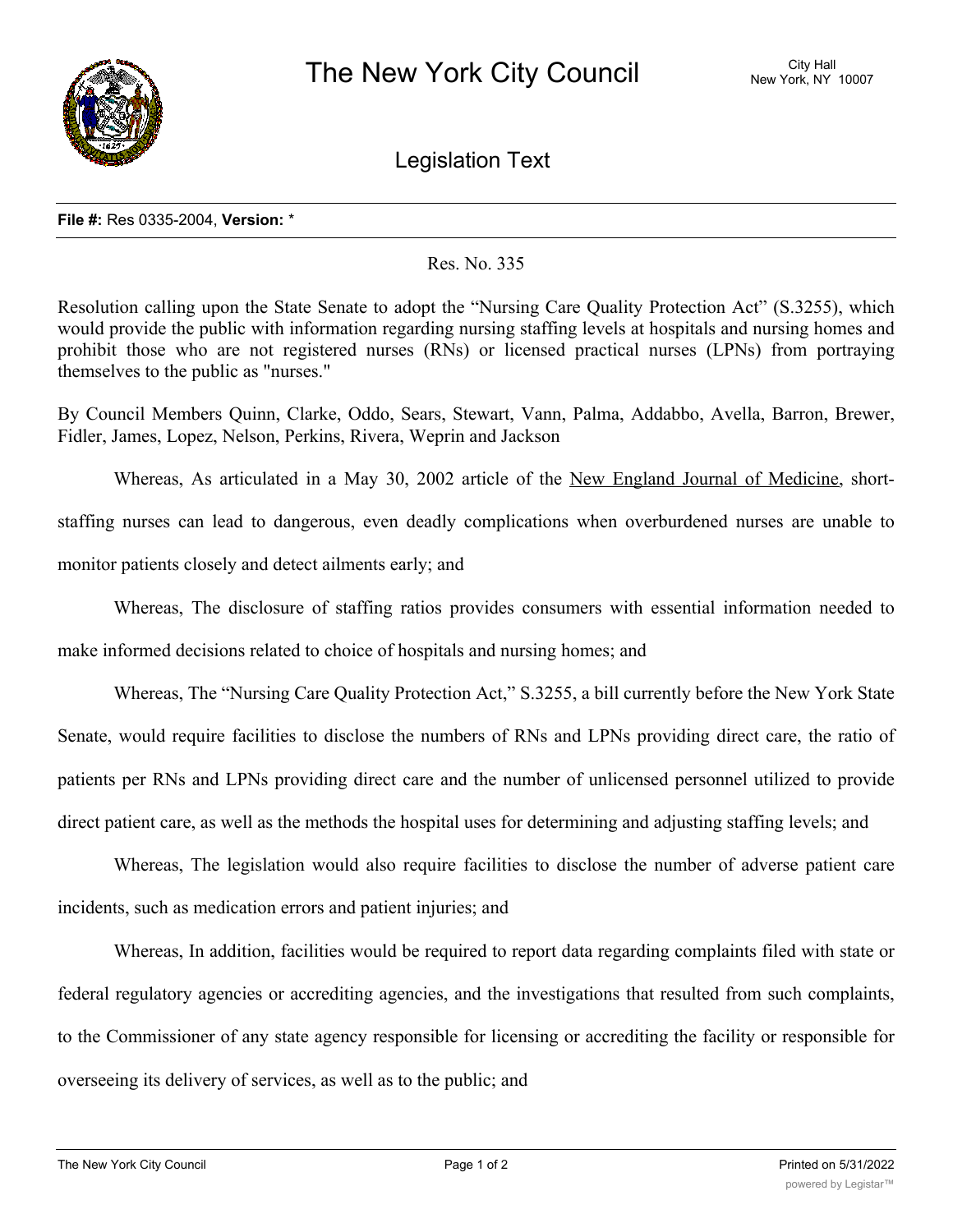

Legislation Text

## **File #:** Res 0335-2004, **Version:** \*

## Res. No. 335

Resolution calling upon the State Senate to adopt the "Nursing Care Quality Protection Act" (S.3255), which would provide the public with information regarding nursing staffing levels at hospitals and nursing homes and prohibit those who are not registered nurses (RNs) or licensed practical nurses (LPNs) from portraying themselves to the public as "nurses."

By Council Members Quinn, Clarke, Oddo, Sears, Stewart, Vann, Palma, Addabbo, Avella, Barron, Brewer, Fidler, James, Lopez, Nelson, Perkins, Rivera, Weprin and Jackson

Whereas, As articulated in a May 30, 2002 article of the New England Journal of Medicine, shortstaffing nurses can lead to dangerous, even deadly complications when overburdened nurses are unable to monitor patients closely and detect ailments early; and

Whereas, The disclosure of staffing ratios provides consumers with essential information needed to make informed decisions related to choice of hospitals and nursing homes; and

Whereas, The "Nursing Care Quality Protection Act," S.3255, a bill currently before the New York State Senate, would require facilities to disclose the numbers of RNs and LPNs providing direct care, the ratio of patients per RNs and LPNs providing direct care and the number of unlicensed personnel utilized to provide direct patient care, as well as the methods the hospital uses for determining and adjusting staffing levels; and

Whereas, The legislation would also require facilities to disclose the number of adverse patient care incidents, such as medication errors and patient injuries; and

Whereas, In addition, facilities would be required to report data regarding complaints filed with state or federal regulatory agencies or accrediting agencies, and the investigations that resulted from such complaints, to the Commissioner of any state agency responsible for licensing or accrediting the facility or responsible for overseeing its delivery of services, as well as to the public; and